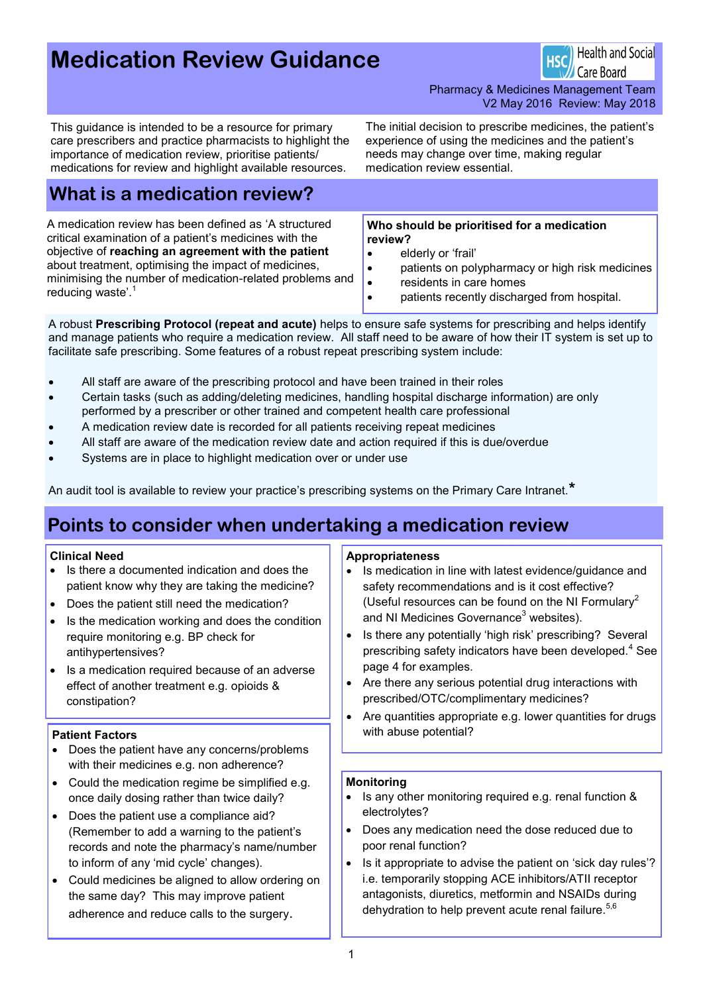# **Medication Review Guidance**

**Health and Social** Care Board

Pharmacy & Medicines Management Team V2 May 2016 Review: May 2018

This guidance is intended to be a resource for primary care prescribers and practice pharmacists to highlight the importance of medication review, prioritise patients/ medications for review and highlight available resources.

The initial decision to prescribe medicines, the patient's experience of using the medicines and the patient's needs may change over time, making regular medication review essential.

# **What is a medication review?**

A medication review has been defined as 'A structured critical examination of a patient's medicines with the objective of **reaching an agreement with the patient**  about treatment, optimising the impact of medicines, minimising the number of medication-related problems and reducing waste'.<sup>1</sup>

**Who should be prioritised for a medication review?** 

- elderly or 'frail'
- patients on polypharmacy or high risk medicines
- residents in care homes
- patients recently discharged from hospital.

A robust **Prescribing Protocol (repeat and acute)** helps to ensure safe systems for prescribing and helps identify and manage patients who require a medication review. All staff need to be aware of how their IT system is set up to facilitate safe prescribing. Some features of a robust repeat prescribing system include:

- All staff are aware of the prescribing protocol and have been trained in their roles
- Certain tasks (such as adding/deleting medicines, handling hospital discharge information) are only performed by a prescriber or other trained and competent health care professional
- A medication review date is recorded for all patients receiving repeat medicines
- All staff are aware of the medication review date and action required if this is due/overdue
- Systems are in place to highlight medication over or under use

An audit tool is available to review your practice's prescribing systems on the Primary Care Intranet.**\***

# **Points to consider when undertaking a medication review**

#### **Clinical Need**

- Is there a documented indication and does the patient know why they are taking the medicine?
- Does the patient still need the medication?
- Is the medication working and does the condition require monitoring e.g. BP check for antihypertensives?
- Is a medication required because of an adverse effect of another treatment e.g. opioids & constipation?

- Does the patient have any concerns/problems with their medicines e.g. non adherence?
- Could the medication regime be simplified e.g. once daily dosing rather than twice daily?
- Does the patient use a compliance aid? (Remember to add a warning to the patient's records and note the pharmacy's name/number to inform of any 'mid cycle' changes).
- Could medicines be aligned to allow ordering on the same day? This may improve patient adherence and reduce calls to the surgery.

#### **Appropriateness**

- Is medication in line with latest evidence/guidance and safety recommendations and is it cost effective? (Useful resources can be found on the NI Formulary<sup>2</sup> and NI Medicines Governance<sup>3</sup> websites).
- Is there any potentially 'high risk' prescribing? Several prescribing safety indicators have been developed.<sup>4</sup> See page 4 for examples.
- Are there any serious potential drug interactions with prescribed/OTC/complimentary medicines?
- Are quantities appropriate e.g. lower quantities for drugs **Patient Factors** with abuse potential?

#### **Monitoring**

- Is any other monitoring required e.g. renal function & electrolytes?
- Does any medication need the dose reduced due to poor renal function?
- Is it appropriate to advise the patient on 'sick day rules'? i.e. temporarily stopping ACE inhibitors/ATII receptor antagonists, diuretics, metformin and NSAIDs during dehydration to help prevent acute renal failure.<sup>5,6</sup>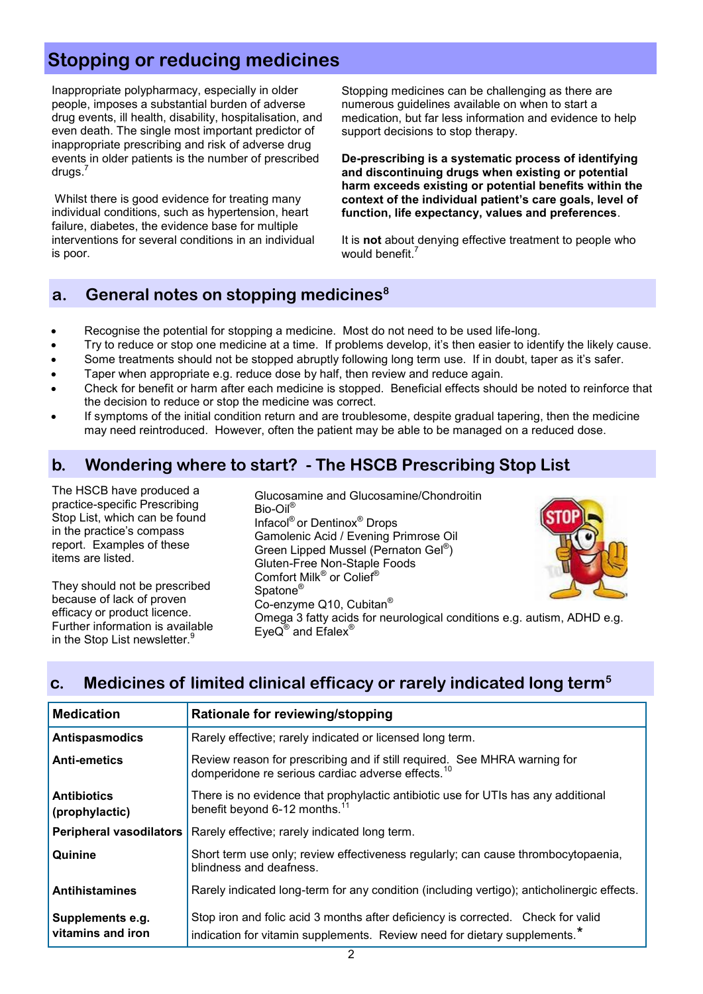# **Stopping or reducing medicines**

Inappropriate polypharmacy, especially in older people, imposes a substantial burden of adverse drug events, ill health, disability, hospitalisation, and even death. The single most important predictor of inappropriate prescribing and risk of adverse drug events in older patients is the number of prescribed drugs.<sup>7</sup>

Whilst there is good evidence for treating many individual conditions, such as hypertension, heart failure, diabetes, the evidence base for multiple interventions for several conditions in an individual is poor.

Stopping medicines can be challenging as there are numerous guidelines available on when to start a medication, but far less information and evidence to help support decisions to stop therapy.

**De-prescribing is a systematic process of identifying and discontinuing drugs when existing or potential harm exceeds existing or potential benefits within the context of the individual patient's care goals, level of function, life expectancy, values and preferences**.

It is **not** about denying effective treatment to people who would benefit.<sup>7</sup>

## **a. General notes on stopping medicines<sup>8</sup>**

- Recognise the potential for stopping a medicine. Most do not need to be used life-long.
- Try to reduce or stop one medicine at a time. If problems develop, it's then easier to identify the likely cause.
- Some treatments should not be stopped abruptly following long term use. If in doubt, taper as it's safer.
- Taper when appropriate e.g. reduce dose by half, then review and reduce again.
- Check for benefit or harm after each medicine is stopped. Beneficial effects should be noted to reinforce that the decision to reduce or stop the medicine was correct.
- If symptoms of the initial condition return and are troublesome, despite gradual tapering, then the medicine may need reintroduced. However, often the patient may be able to be managed on a reduced dose.

## **b. Wondering where to start? - The HSCB Prescribing Stop List**

The HSCB have produced a practice-specific Prescribing Stop List, which can be found in the practice's compass report. Examples of these items are listed.

They should not be prescribed because of lack of proven efficacy or product licence. Further information is available in the Stop List newsletter.<sup>9</sup>

Glucosamine and Glucosamine/Chondroitin Bio-Oil® Infacol® or Dentinox® Drops Gamolenic Acid / Evening Primrose Oil Green Lipped Mussel (Pernaton Gel® ) Gluten-Free Non-Staple Foods Comfort Milk® or Colief® Spatone® Co-enzyme Q10, Cubitan®



Omega 3 fatty acids for neurological conditions e.g. autism, ADHD e.g. EyeQ<sup>®</sup> and Efalex<sup>®</sup>

# **c. Medicines of limited clinical efficacy or rarely indicated long term<sup>5</sup>**

| <b>Medication</b>                     | Rationale for reviewing/stopping                                                                                                                                          |
|---------------------------------------|---------------------------------------------------------------------------------------------------------------------------------------------------------------------------|
| <b>Antispasmodics</b>                 | Rarely effective; rarely indicated or licensed long term.                                                                                                                 |
| <b>Anti-emetics</b>                   | Review reason for prescribing and if still required. See MHRA warning for<br>domperidone re serious cardiac adverse effects. <sup>10</sup>                                |
| <b>Antibiotics</b><br>(prophylactic)  | There is no evidence that prophylactic antibiotic use for UTIs has any additional<br>benefit beyond 6-12 months. <sup>11</sup>                                            |
| <b>Peripheral vasodilators</b>        | Rarely effective; rarely indicated long term.                                                                                                                             |
| Quinine                               | Short term use only; review effectiveness regularly; can cause thrombocytopaenia,<br>blindness and deafness.                                                              |
| <b>Antihistamines</b>                 | Rarely indicated long-term for any condition (including vertigo); anticholinergic effects.                                                                                |
| Supplements e.g.<br>vitamins and iron | Stop iron and folic acid 3 months after deficiency is corrected. Check for valid<br>indication for vitamin supplements. Review need for dietary supplements. <sup>*</sup> |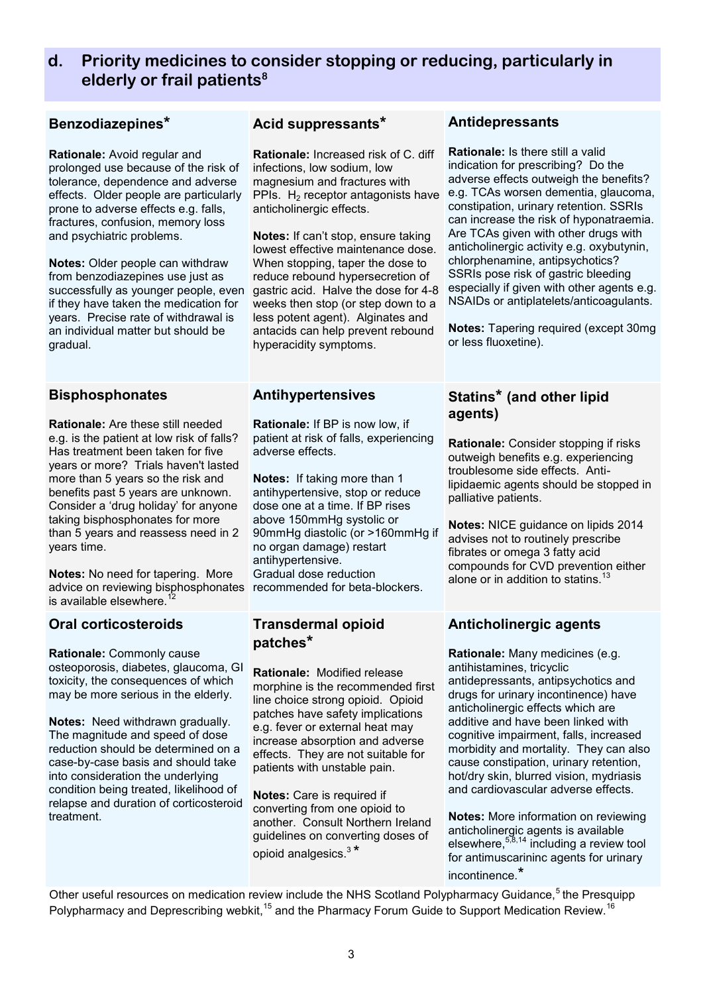### **d. Priority medicines to consider stopping or reducing, particularly in elderly or frail patients<sup>8</sup>**

#### **Benzodiazepines\***

**Rationale:** Avoid regular and prolonged use because of the risk of tolerance, dependence and adverse effects. Older people are particularly prone to adverse effects e.g. falls, fractures, confusion, memory loss and psychiatric problems.

**Notes:** Older people can withdraw from benzodiazepines use just as successfully as younger people, even if they have taken the medication for years. Precise rate of withdrawal is an individual matter but should be gradual.

#### **Bisphosphonates**

**Rationale:** Are these still needed e.g. is the patient at low risk of falls? Has treatment been taken for five years or more? Trials haven't lasted more than 5 years so the risk and benefits past 5 years are unknown. Consider a 'drug holiday' for anyone taking bisphosphonates for more than 5 years and reassess need in 2 years time.

**Notes:** No need for tapering. More advice on reviewing bisphosphonates recommended for beta-blockers. is available elsewhere. $12$ 

#### **Oral corticosteroids**

**Rationale:** Commonly cause osteoporosis, diabetes, glaucoma, GI toxicity, the consequences of which may be more serious in the elderly.

**Notes:** Need withdrawn gradually. The magnitude and speed of dose reduction should be determined on a case-by-case basis and should take into consideration the underlying condition being treated, likelihood of relapse and duration of corticosteroid treatment.

#### **Acid suppressants\***

**Rationale:** Increased risk of C. diff infections, low sodium, low magnesium and fractures with PPIs.  $H_2$  receptor antagonists have anticholinergic effects.

**Notes:** If can't stop, ensure taking lowest effective maintenance dose. When stopping, taper the dose to reduce rebound hypersecretion of gastric acid. Halve the dose for 4-8 weeks then stop (or step down to a less potent agent). Alginates and antacids can help prevent rebound hyperacidity symptoms.

#### **Antihypertensives**

**Rationale:** If BP is now low, if patient at risk of falls, experiencing adverse effects.

**Notes:** If taking more than 1 antihypertensive, stop or reduce dose one at a time. If BP rises above 150mmHg systolic or 90mmHg diastolic (or >160mmHg if no organ damage) restart antihypertensive. Gradual dose reduction

#### **Transdermal opioid patches\***

**Rationale:** Modified release morphine is the recommended first line choice strong opioid. Opioid patches have safety implications e.g. fever or external heat may increase absorption and adverse effects. They are not suitable for patients with unstable pain.

**Notes:** Care is required if converting from one opioid to another. Consult Northern Ireland guidelines on converting doses of opioid analgesics.<sup>3\*</sup>

#### **Antidepressants**

**Rationale:** Is there still a valid indication for prescribing? Do the adverse effects outweigh the benefits? e.g. TCAs worsen dementia, glaucoma, constipation, urinary retention. SSRIs can increase the risk of hyponatraemia. Are TCAs given with other drugs with anticholinergic activity e.g. oxybutynin, chlorphenamine, antipsychotics? SSRIs pose risk of gastric bleeding especially if given with other agents e.g. NSAIDs or antiplatelets/anticoagulants.

**Notes:** Tapering required (except 30mg or less fluoxetine).

#### **Statins\* (and other lipid agents)**

**Rationale:** Consider stopping if risks outweigh benefits e.g. experiencing troublesome side effects. Antilipidaemic agents should be stopped in palliative patients.

**Notes:** NICE guidance on lipids 2014 advises not to routinely prescribe fibrates or omega 3 fatty acid compounds for CVD prevention either alone or in addition to statins.<sup>1</sup>

### **Anticholinergic agents**

**Rationale:** Many medicines (e.g. antihistamines, tricyclic antidepressants, antipsychotics and drugs for urinary incontinence) have anticholinergic effects which are additive and have been linked with cognitive impairment, falls, increased morbidity and mortality. They can also cause constipation, urinary retention, hot/dry skin, blurred vision, mydriasis and cardiovascular adverse effects.

**Notes:** More information on reviewing anticholinergic agents is available elsewhere,  $5,8,14$  including a review tool for antimuscarininc agents for urinary incontinence.\*

Other useful resources on medication review include the NHS Scotland Polypharmacy Guidance,<sup>5</sup> the Presquipp Polypharmacy and Deprescribing webkit,<sup>15</sup> and the Pharmacy Forum Guide to Support Medication Review.<sup>16</sup>